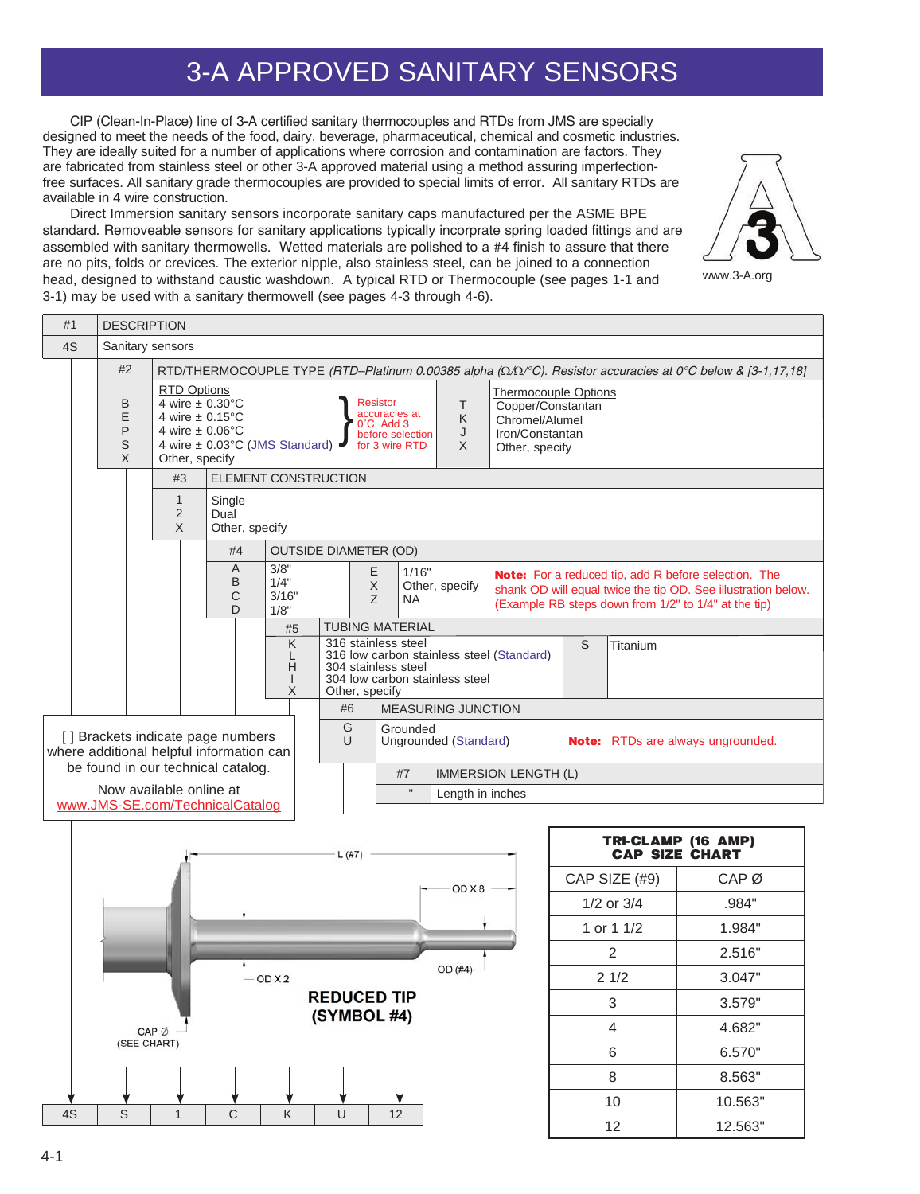## 3-A APPROVED SANITARY SENSORS

CIP (Clean-In-Place) line of 3-A certified sanitary thermocouples and RTDs from JMS are specially designed to meet the needs of the food, dairy, beverage, pharmaceutical, chemical and cosmetic industries. They are ideally suited for a number of applications where corrosion and contamination are factors. They are fabricated from stainless steel or other 3-A approved material using a method assuring imperfectionfree surfaces. All sanitary grade thermocouples are provided to special limits of error. All sanitary RTDs are available in 4 wire construction.

Direct Immersion sanitary sensors incorporate sanitary caps manufactured per the ASME BPE standard. Removeable sensors for sanitary applications typically incorprate spring loaded fittings and are assembled with sanitary thermowells. Wetted materials are polished to a #4 finish to assure that there are no pits, folds or crevices. The exterior nipple, also stainless steel, can be joined to a connection head, designed to withstand caustic washdown. A typical RTD or Thermocouple (see pages 1-1 and 3-1) may be used with a sanitary thermowell (see pages 4-3 through 4-6).

#1 DESCRIPTION 4S | Sanitary sensors #2 RTD/THERMOCOUPLE TYPE (RTD–Platinum 0.00385 alpha (W/W/°C). Resistor accuracies at 0°C below & [3-1,17,18] RTD Options Thermocouple Options B 4 wire ± 0.30°C Resistor T Copper/Constantan } accuracies at E 4 wire  $\pm$  0.15 $^{\circ}$ C K Chromel/Alumel  $0^\circ$ C. Add 3 P 4 wire ± 0.06°C before selection J Iron/Constantan S 4 wire ± 0.03°C (JMS Standard) for 3 wire RTD X Other, specify X Other, specify #3 ELEMENT CONSTRUCTION 1 Single 2 Dual Other, specify X #4 OUTSIDE DIAMETER (OD) A 3/8" E 1/16" **Note:** For a reduced tip, add R before selection. The B 1/4" X Other, specify shank OD will equal twice the tip OD. See illustration below. 3/16" C Z NA (Example RB steps down from 1/2" to 1/4" at the tip)  $\Box$ 1/8" #5 | TUBING MATERIAL K 316 stainless steel S Titanium 316 low carbon stainless steel (Standard) L H 304 stainless steel 304 low carbon stainless steel I X Other, specify #6 MEASURING JUNCTION G Grounded [] Brackets indicate page numbers U Ungrounded (Standard) **Note:** RTDs are always ungrounded. where additional helpful information can be found in our technical catalog. #7 IMMERSION LENGTH (L) Now available online at Length in inches www.JMS-SE.com/TechnicalCatalog **TRI-CLAMP (16 AMP) CAP SIZE CHART**  $L$  (#7) CAP SIZE (#9) CAP Ø OD X8 1/2 or 3/4 .984" 1 or 1 1/2 1.984" 2 2.516"  $OD(#4)$ OD X 2 2 1/2 3.047" **REDUCED TIP** 3 3.579"  $(SYMBOL #4)$ 4 4.682" CAP<sup>Ø</sup> (SEE CHART) 6 6.570" 8 8.563" 10 10.563" 4S | S | 1 | C | K | U | 12 12 12.563"



www.3-A.org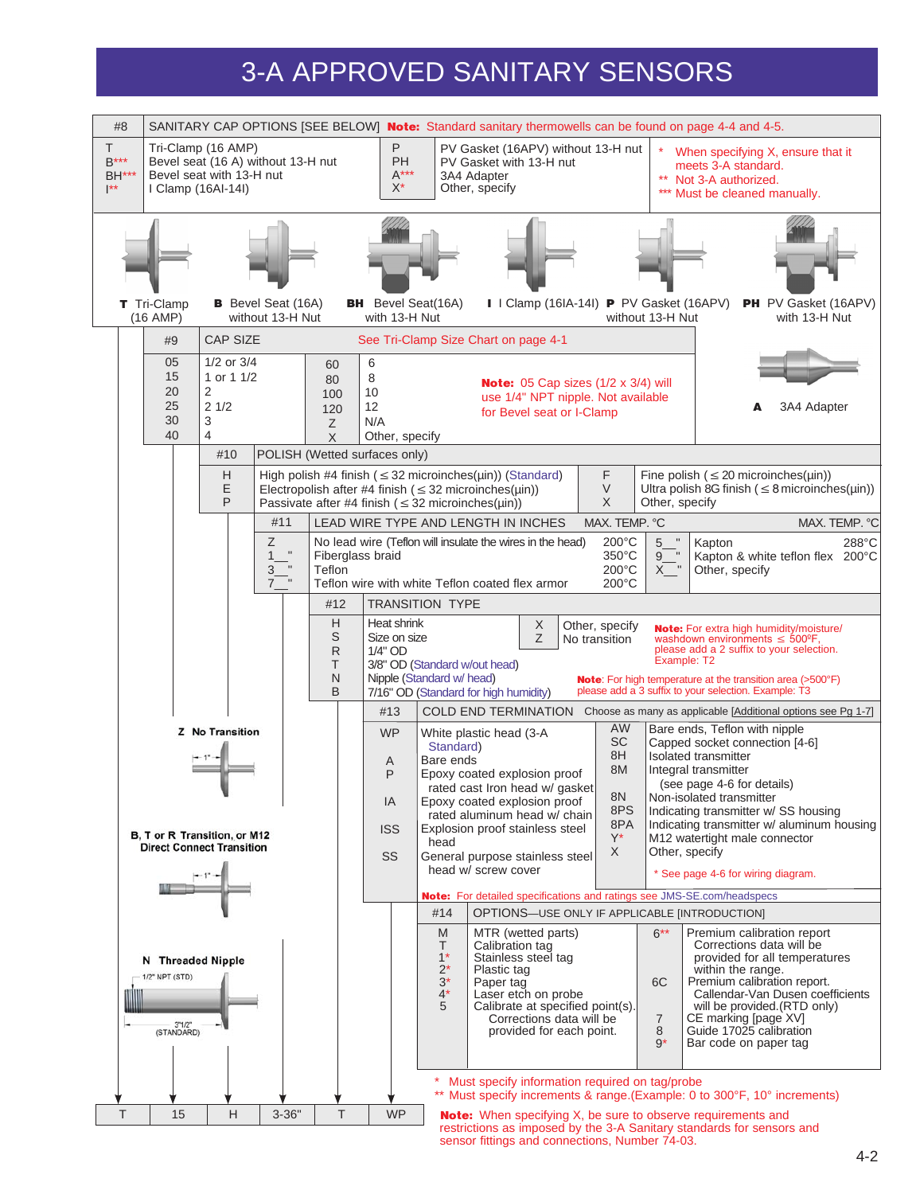## 3-A APPROVED SANITARY SENSORS

| #8<br>SANITARY CAP OPTIONS [SEE BELOW] <b>Note:</b> Standard sanitary thermowells can be found on page 4-4 and 4-5.                                                                                                               |                                                                                                                                                                                                                                                                                                                    |                                                                                                      |                                                                                                |                                                                                                                                                                                                                                 |                                                               |                                              |                                                                                                                                                                                                                                                                                                  |  |
|-----------------------------------------------------------------------------------------------------------------------------------------------------------------------------------------------------------------------------------|--------------------------------------------------------------------------------------------------------------------------------------------------------------------------------------------------------------------------------------------------------------------------------------------------------------------|------------------------------------------------------------------------------------------------------|------------------------------------------------------------------------------------------------|---------------------------------------------------------------------------------------------------------------------------------------------------------------------------------------------------------------------------------|---------------------------------------------------------------|----------------------------------------------|--------------------------------------------------------------------------------------------------------------------------------------------------------------------------------------------------------------------------------------------------------------------------------------------------|--|
| T.<br>Tri-Clamp (16 AMP)<br>$B***$<br>Bevel seat (16 A) without 13-H nut<br>Bevel seat with 13-H nut<br><b>BH***</b><br>$\mathsf{I}^{\star\star}$<br>I Clamp (16AI-14I)                                                           |                                                                                                                                                                                                                                                                                                                    | P<br>PH<br>$A***$<br>$X^*$                                                                           | PV Gasket (16APV) without 13-H nut<br>PV Gasket with 13-H nut<br>3A4 Adapter<br>Other, specify |                                                                                                                                                                                                                                 |                                                               |                                              | When specifying X, ensure that it<br>meets 3-A standard.<br>** Not 3-A authorized.<br>*** Must be cleaned manually.                                                                                                                                                                              |  |
|                                                                                                                                                                                                                                   |                                                                                                                                                                                                                                                                                                                    |                                                                                                      |                                                                                                |                                                                                                                                                                                                                                 |                                                               |                                              |                                                                                                                                                                                                                                                                                                  |  |
| PH PV Gasket (16APV)<br>T Tri-Clamp<br><b>B</b> Bevel Seat (16A)<br><b>BH</b> Bevel Seat(16A)<br>I   Clamp (16IA-14I) P PV Gasket (16APV)<br>with 13-H Nut<br>without 13-H Nut<br>with 13-H Nut<br>$(16$ AMP)<br>without 13-H Nut |                                                                                                                                                                                                                                                                                                                    |                                                                                                      |                                                                                                |                                                                                                                                                                                                                                 |                                                               |                                              |                                                                                                                                                                                                                                                                                                  |  |
| <b>CAP SIZE</b><br>#9                                                                                                                                                                                                             |                                                                                                                                                                                                                                                                                                                    |                                                                                                      |                                                                                                | See Tri-Clamp Size Chart on page 4-1                                                                                                                                                                                            |                                                               |                                              |                                                                                                                                                                                                                                                                                                  |  |
| 05<br>$1/2$ or $3/4$<br>15<br>1 or 1 1/2<br>20<br>2<br>25<br>21/2<br>30<br>3<br>40<br>$\overline{4}$                                                                                                                              | 60<br>80<br>100<br>120<br>Ζ<br>X                                                                                                                                                                                                                                                                                   | 6<br>8<br>10<br>12<br>N/A<br>Other, specify                                                          |                                                                                                | Note: 05 Cap sizes (1/2 x 3/4) will<br>use 1/4" NPT nipple. Not available<br>for Bevel seat or I-Clamp                                                                                                                          |                                                               |                                              | 3A4 Adapter                                                                                                                                                                                                                                                                                      |  |
| #10                                                                                                                                                                                                                               |                                                                                                                                                                                                                                                                                                                    | POLISH (Wetted surfaces only)                                                                        |                                                                                                |                                                                                                                                                                                                                                 |                                                               |                                              |                                                                                                                                                                                                                                                                                                  |  |
| Н<br>E<br>P                                                                                                                                                                                                                       |                                                                                                                                                                                                                                                                                                                    | Passivate after #4 finish ( $\leq$ 32 microinches( $\mu$ in))                                        |                                                                                                | High polish #4 finish ( $\leq$ 32 microinches( $\mu$ in)) (Standard)<br>Electropolish after #4 finish ( $\leq$ 32 microinches( $\mu$ in))                                                                                       | F<br>$\vee$<br>X                                              | Other, specify                               | Fine polish ( $\leq$ 20 microinches( $\mu$ in))<br>Ultra polish 8G finish ( $\leq$ 8 microinches( $\mu$ in))                                                                                                                                                                                     |  |
| #11                                                                                                                                                                                                                               |                                                                                                                                                                                                                                                                                                                    |                                                                                                      |                                                                                                | LEAD WIRE TYPE AND LENGTH IN INCHES                                                                                                                                                                                             | MAX. TEMP. °C                                                 |                                              | MAX. TEMP. °C                                                                                                                                                                                                                                                                                    |  |
| Z<br>$\blacksquare$<br>$\mathbf{1}$<br>$\mathbf H$<br>3<br>$\mathbf{u}$<br>$\overline{7}$                                                                                                                                         | No lead wire (Teflon will insulate the wires in the head)<br>$200^{\circ}$ C<br>5<br>Kapton<br>288°C<br>Ξ.<br>Fiberglass braid<br>350°C<br>Kapton & white teflon flex 200°C<br>9<br>Teflon<br>$200^{\circ}$ C<br>$X_{-}$ "<br>Other, specify<br>Teflon wire with white Teflon coated flex armor<br>$200^{\circ}$ C |                                                                                                      |                                                                                                |                                                                                                                                                                                                                                 |                                                               |                                              |                                                                                                                                                                                                                                                                                                  |  |
|                                                                                                                                                                                                                                   | #12                                                                                                                                                                                                                                                                                                                | <b>TRANSITION TYPE</b>                                                                               |                                                                                                |                                                                                                                                                                                                                                 |                                                               |                                              |                                                                                                                                                                                                                                                                                                  |  |
|                                                                                                                                                                                                                                   | H<br>S<br>$\mathsf{R}$<br>T<br>N<br>B                                                                                                                                                                                                                                                                              | Heat shrink<br>Size on size<br>1/4" OD<br>3/8" OD (Standard w/out head)<br>Nipple (Standard w/ head) |                                                                                                | X<br>Z<br>7/16" OD (Standard for high humidity)                                                                                                                                                                                 | Other, specify<br>No transition                               | Example: T2                                  | <b>Note:</b> For extra high humidity/moisture/<br>washdown environments $\leq 500^{\circ}$ F,<br>please add a 2 suffix to your selection.<br><b>Note:</b> For high temperature at the transition area (>500°F)<br>please add a 3 suffix to your selection. Example: T3                           |  |
|                                                                                                                                                                                                                                   |                                                                                                                                                                                                                                                                                                                    | #13                                                                                                  |                                                                                                | <b>COLD END TERMINATION</b>                                                                                                                                                                                                     |                                                               |                                              | Choose as many as applicable [Additional options see Pg 1-7]                                                                                                                                                                                                                                     |  |
| <b>Z</b> No Transition<br>B, T or R Transition, or M12<br><b>Direct Connect Transition</b>                                                                                                                                        |                                                                                                                                                                                                                                                                                                                    | <b>WP</b><br>A<br>P<br>IA<br><b>ISS</b><br>SS                                                        | Standard)<br>Bare ends<br>head                                                                 | White plastic head (3-A<br>Epoxy coated explosion proof<br>rated cast Iron head w/ gasket<br>Epoxy coated explosion proof<br>rated aluminum head w/ chain<br>Explosion proof stainless steel<br>General purpose stainless steel | AW<br><b>SC</b><br>8H<br>8M<br>8N<br>8PS<br>8PA<br>$Y^*$<br>X | Other, specify                               | Bare ends, Teflon with nipple<br>Capped socket connection [4-6]<br>Isolated transmitter<br>Integral transmitter<br>(see page 4-6 for details)<br>Non-isolated transmitter<br>Indicating transmitter w/ SS housing<br>Indicating transmitter w/ aluminum housing<br>M12 watertight male connector |  |
|                                                                                                                                                                                                                                   |                                                                                                                                                                                                                                                                                                                    |                                                                                                      |                                                                                                | head w/ screw cover                                                                                                                                                                                                             |                                                               |                                              | * See page 4-6 for wiring diagram.                                                                                                                                                                                                                                                               |  |
|                                                                                                                                                                                                                                   |                                                                                                                                                                                                                                                                                                                    |                                                                                                      | Note: For detailed specifications and ratings see JMS-SE.com/headspecs                         |                                                                                                                                                                                                                                 |                                                               |                                              |                                                                                                                                                                                                                                                                                                  |  |
|                                                                                                                                                                                                                                   |                                                                                                                                                                                                                                                                                                                    |                                                                                                      | #14                                                                                            | OPTIONS-USE ONLY IF APPLICABLE [INTRODUCTION]                                                                                                                                                                                   |                                                               |                                              |                                                                                                                                                                                                                                                                                                  |  |
| N Threaded Nipple<br>1/2" NPT (STD)<br>3"1/2"<br>(STANDARD)                                                                                                                                                                       |                                                                                                                                                                                                                                                                                                                    |                                                                                                      | M<br>т<br>$1^*$<br>$2^*$<br>$3^*$<br>$4^*$<br>5                                                | MTR (wetted parts)<br>Calibration tag<br>Stainless steel tag<br>Plastic tag<br>Paper tag<br>Laser etch on probe<br>Calibrate at specified point(s).<br>Corrections data will be<br>provided for each point.                     |                                                               | $6***$<br>6C<br>$\overline{7}$<br>8<br>$9^*$ | Premium calibration report<br>Corrections data will be<br>provided for all temperatures<br>within the range.<br>Premium calibration report.<br>Callendar-Van Dusen coefficients<br>will be provided. (RTD only)<br>CE marking [page XV]<br>Guide 17025 calibration<br>Bar code on paper tag      |  |
|                                                                                                                                                                                                                                   |                                                                                                                                                                                                                                                                                                                    |                                                                                                      |                                                                                                | Must specify information required on tag/probe                                                                                                                                                                                  |                                                               |                                              | ** Must specify increments & range.(Example: 0 to 300°F, 10° increments)                                                                                                                                                                                                                         |  |
| T<br>15<br>Н<br>$3 - 36"$                                                                                                                                                                                                         | T<br><b>WP</b><br><b>Note:</b> When specifying X, be sure to observe requirements and<br>restrictions as imposed by the 3-A Sanitary standards for sensors and<br>sensor fittings and connections, Number 74-03.                                                                                                   |                                                                                                      |                                                                                                |                                                                                                                                                                                                                                 |                                                               |                                              |                                                                                                                                                                                                                                                                                                  |  |